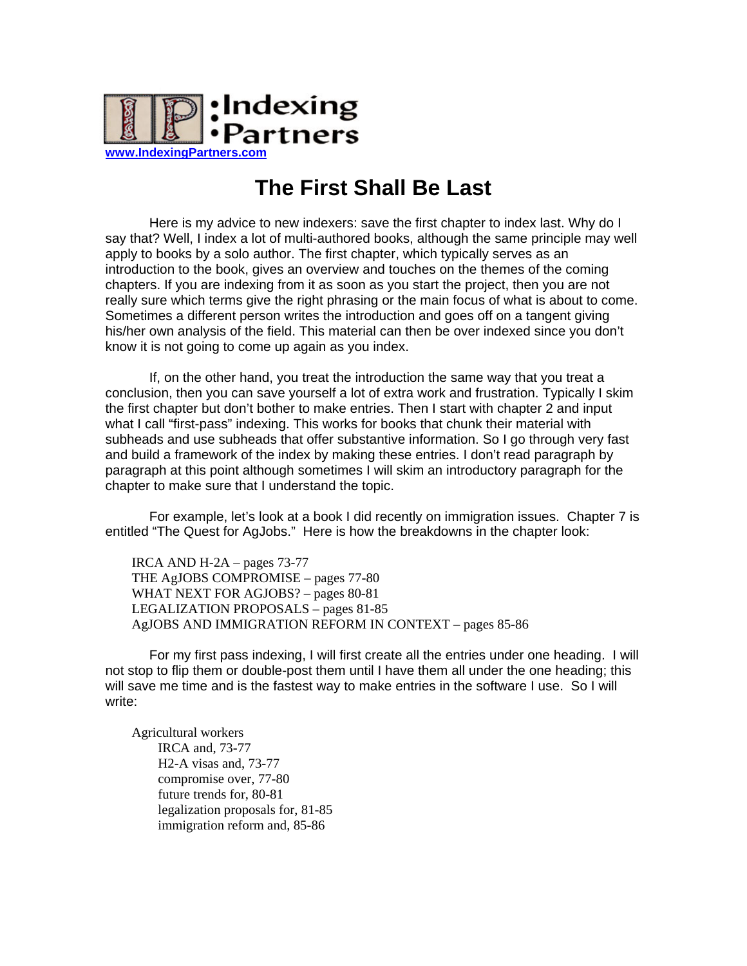

# **The First Shall Be Last**

Here is my advice to new indexers: save the first chapter to index last. Why do I say that? Well, I index a lot of multi-authored books, although the same principle may well apply to books by a solo author. The first chapter, which typically serves as an introduction to the book, gives an overview and touches on the themes of the coming chapters. If you are indexing from it as soon as you start the project, then you are not really sure which terms give the right phrasing or the main focus of what is about to come. Sometimes a different person writes the introduction and goes off on a tangent giving his/her own analysis of the field. This material can then be over indexed since you don't know it is not going to come up again as you index.

If, on the other hand, you treat the introduction the same way that you treat a conclusion, then you can save yourself a lot of extra work and frustration. Typically I skim the first chapter but don't bother to make entries. Then I start with chapter 2 and input what I call "first-pass" indexing. This works for books that chunk their material with subheads and use subheads that offer substantive information. So I go through very fast and build a framework of the index by making these entries. I don't read paragraph by paragraph at this point although sometimes I will skim an introductory paragraph for the chapter to make sure that I understand the topic.

For example, let's look at a book I did recently on immigration issues. Chapter 7 is entitled "The Quest for AgJobs." Here is how the breakdowns in the chapter look:

IRCA AND H-2A – pages 73-77 THE AgJOBS COMPROMISE – pages 77-80 WHAT NEXT FOR AGJOBS? – pages 80-81 LEGALIZATION PROPOSALS – pages 81-85 AgJOBS AND IMMIGRATION REFORM IN CONTEXT – pages 85-86

For my first pass indexing, I will first create all the entries under one heading. I will not stop to flip them or double-post them until I have them all under the one heading; this will save me time and is the fastest way to make entries in the software I use. So I will write:

Agricultural workers IRCA and, 73-77 H2-A visas and, 73-77 compromise over, 77-80 future trends for, 80-81 legalization proposals for, 81-85 immigration reform and, 85-86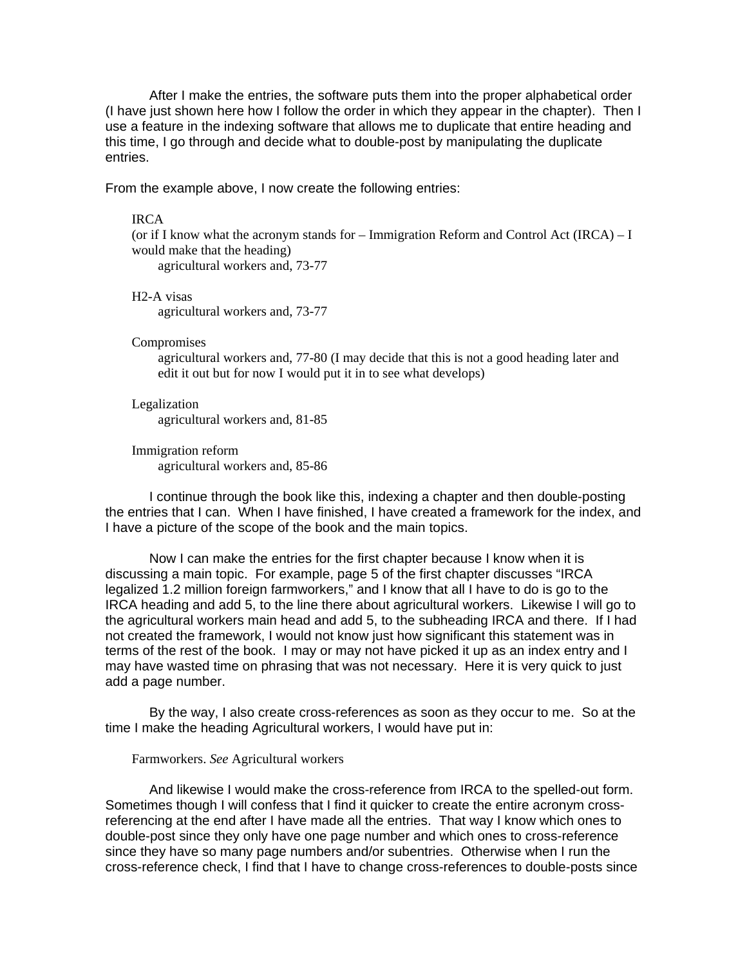After I make the entries, the software puts them into the proper alphabetical order (I have just shown here how I follow the order in which they appear in the chapter). Then I use a feature in the indexing software that allows me to duplicate that entire heading and this time, I go through and decide what to double-post by manipulating the duplicate entries.

From the example above, I now create the following entries:

#### IRCA

(or if I know what the acronym stands for – Immigration Reform and Control Act (IRCA) – I would make that the heading) agricultural workers and, 73-77

H2-A visas

agricultural workers and, 73-77

### **Compromises**

agricultural workers and, 77-80 (I may decide that this is not a good heading later and edit it out but for now I would put it in to see what develops)

## Legalization agricultural workers and, 81-85

Immigration reform agricultural workers and, 85-86

I continue through the book like this, indexing a chapter and then double-posting the entries that I can. When I have finished, I have created a framework for the index, and I have a picture of the scope of the book and the main topics.

Now I can make the entries for the first chapter because I know when it is discussing a main topic. For example, page 5 of the first chapter discusses "IRCA legalized 1.2 million foreign farmworkers," and I know that all I have to do is go to the IRCA heading and add 5, to the line there about agricultural workers. Likewise I will go to the agricultural workers main head and add 5, to the subheading IRCA and there. If I had not created the framework, I would not know just how significant this statement was in terms of the rest of the book. I may or may not have picked it up as an index entry and I may have wasted time on phrasing that was not necessary. Here it is very quick to just add a page number.

By the way, I also create cross-references as soon as they occur to me. So at the time I make the heading Agricultural workers, I would have put in:

### Farmworkers. *See* Agricultural workers

And likewise I would make the cross-reference from IRCA to the spelled-out form. Sometimes though I will confess that I find it quicker to create the entire acronym crossreferencing at the end after I have made all the entries. That way I know which ones to double-post since they only have one page number and which ones to cross-reference since they have so many page numbers and/or subentries. Otherwise when I run the cross-reference check, I find that I have to change cross-references to double-posts since